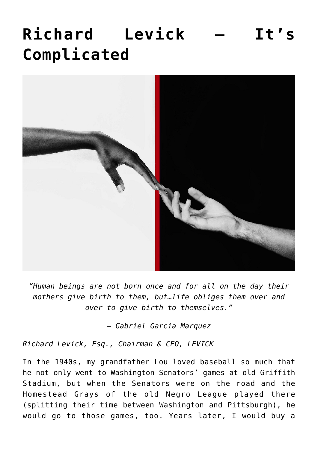## **[Richard Levick – It's](https://www.commpro.biz/richard-levick-its-complicated/) [Complicated](https://www.commpro.biz/richard-levick-its-complicated/)**



*"Human beings are not born once and for all on the day their mothers give birth to them, but…life obliges them over and over to give birth to themselves."*

*— Gabriel Garcia Marquez*

*Richard Levick, Esq., Chairman & CEO, [LEVICK](https://levick.com/)*

In the 1940s, my grandfather Lou loved baseball so much that he not only went to Washington Senators' games at old Griffith Stadium, but when the Senators were on the road and the Homestead Grays of the old [Negro League](https://www.history.com/topics/sports/negro-league-baseball) played there (splitting their time between Washington and Pittsburgh), he would go to those games, too. Years later, I would buy a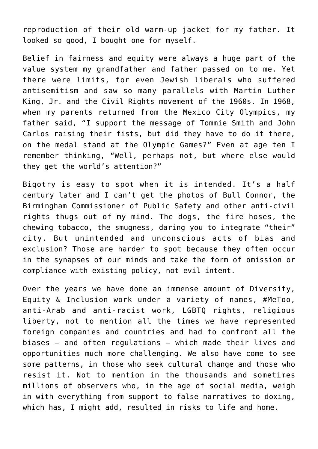reproduction of their old warm-up jacket for my father. It looked so good, I bought one for myself.

Belief in fairness and equity were always a huge part of the value system my grandfather and father passed on to [me.](https://www.commpro.biz/?s=Richard+Levick) Yet there were limits, for even Jewish liberals who suffered antisemitism and saw so many parallels with Martin Luther King, Jr. and the Civil Rights movement of the 1960s. In 1968, when my parents returned from the Mexico City Olympics, my father said, "I support the message of Tommie Smith and John Carlos raising their fists, but did they have to do it there, on the medal stand at the Olympic Games?" Even at age ten I remember thinking, "Well, perhaps not, but where else would they get the world's attention?"

Bigotry is easy to spot when it is intended. It's a half century later and I can't get the photos of Bull Connor, the Birmingham Commissioner of Public Safety and other anti-civil rights thugs out of my mind. The dogs, the fire hoses, the chewing tobacco, the smugness, daring you to integrate "their" city. But unintended and unconscious acts of bias and exclusion? Those are harder to spot because they often occur in the synapses of our minds and take the form of omission or compliance with existing policy, not evil intent.

Over the years we have done an immense amount of Diversity, Equity & Inclusion work under a variety of names, #MeToo, anti-Arab and anti-racist work, LGBTQ rights, religious liberty, not to mention all the times we have represented foreign companies and countries and had to confront all the biases – and often regulations – which made their lives and opportunities much more challenging. We also have come to see some patterns, in those who seek cultural change and those who resist it. Not to mention in the thousands and sometimes millions of observers who, in the age of social media, weigh in with everything from support to false narratives to [doxing,](https://en.wikipedia.org/wiki/Doxing) which has, I might add, resulted in risks to life and home.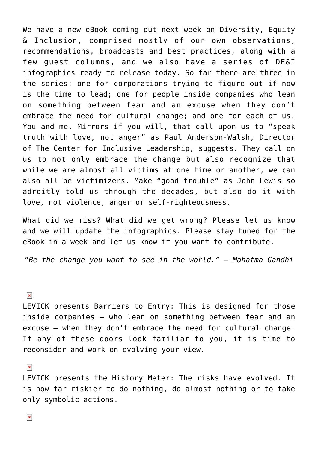We have a new eBook coming out next week on Diversity, Equity & Inclusion, comprised mostly of our own observations, recommendations, broadcasts and best practices, along with a few guest columns, and we also have a series of DE&I infographics ready to release today. So far there are three in the series: one for corporations trying to figure out if now is the time to lead; one for people inside companies who lean on something between fear and an excuse when they don't embrace the need for cultural change; and one for each of us. You and me. Mirrors if you will, that call upon us to "speak truth with love, not anger" as Paul Anderson-Walsh, Director of The Center for Inclusive Leadership, suggests. They call on us to not only embrace the change but also recognize that while we are almost all victims at one time or another, we can also all be victimizers. Make "good trouble" as John Lewis so adroitly told us through the decades, but also do it with love, not violence, anger or self-righteousness.

What did we miss? What did we get wrong? Please let us know and we will update the infographics. Please stay tuned for the eBook in a week and let us know if you want to contribute.

*"Be the change you want to see in the world." — Mahatma Gandhi*

 $\pmb{\times}$ 

LEVICK presents Barriers to Entry: This is designed for those inside companies — who lean on something between fear and an excuse — when they don't embrace the need for cultural change. If any of these doors look familiar to you, it is time to reconsider and work on evolving your view.

 $\pmb{\times}$ 

LEVICK presents the History Meter: The risks have evolved. It is now far riskier to do nothing, do almost nothing or to take only symbolic actions.

 $\pmb{\times}$